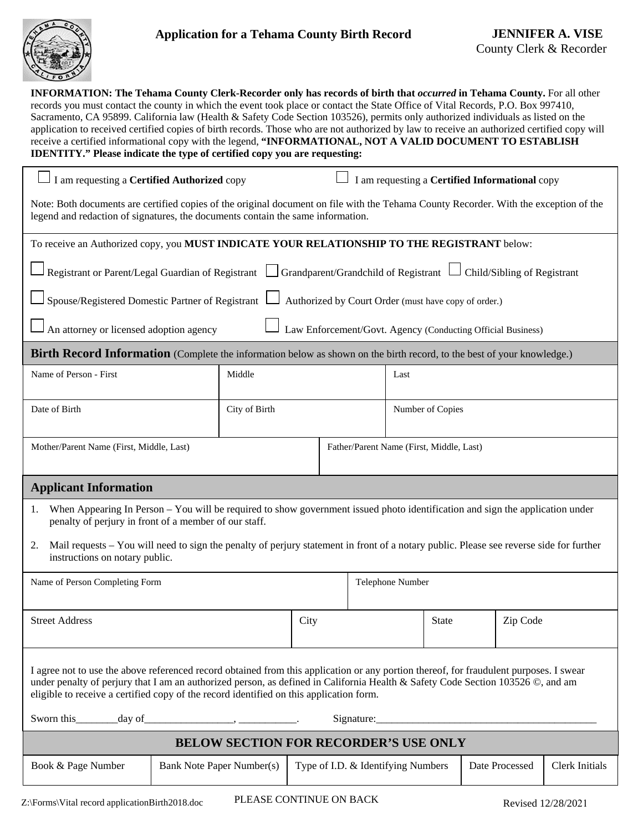

88% **INFORMATION: The Tehama County Clerk-Recorder only has records of birth that** *occurred* **in Tehama County.** For all other records you must contact the county in which the event took place or contact the State Office of Vital Records, P.O. Box 997410, Sacramento, CA 95899. California law (Health & Safety Code Section 103526), permits only authorized individuals as listed on the application to received certified copies of birth records. Those who are not authorized by law to receive an authorized certified copy will receive a certified informational copy with the legend, **"INFORMATIONAL, NOT A VALID DOCUMENT TO ESTABLISH IDENTITY." Please indicate the type of certified copy you are requesting:**  I am requesting a **Certified Authorized** copyI am requesting a **Certified Informational** copy

Note: Both documents are certified copies of the original document on file with the Tehama County Recorder. With the exception of the legend and redaction of signatures, the documents contain the same information.

| To receive an Authorized copy, you MUST INDICATE YOUR RELATIONSHIP TO THE REGISTRANT below: |
|---------------------------------------------------------------------------------------------|
|---------------------------------------------------------------------------------------------|

| ■ Registrant or Parent/Legal Guardian of Registrant △ Grandparent/Grandchild of Registrant △ Child/Sibling of Registrant |  |  |
|--------------------------------------------------------------------------------------------------------------------------|--|--|
|--------------------------------------------------------------------------------------------------------------------------|--|--|

 $\Box$  Spouse/Registered Domestic Partner of Registrant  $\Box$  Authorized by Court Order (must have copy of order.)

 $\Box$  An attorney or licensed adoption agency  $\Box$  Law Enforcement/Govt. Agency (Conducting Official Business)

**Birth Record Information** (Complete the information below as shown on the birth record, to the best of your knowledge.)

| Name of Person - First                   | Middle        |                                          | Last             |
|------------------------------------------|---------------|------------------------------------------|------------------|
| Date of Birth                            | City of Birth |                                          | Number of Copies |
| Mother/Parent Name (First, Middle, Last) |               | Father/Parent Name (First, Middle, Last) |                  |

## **Applicant Information**

- 1. When Appearing In Person You will be required to show government issued photo identification and sign the application under penalty of perjury in front of a member of our staff.
- 2. Mail requests You will need to sign the penalty of perjury statement in front of a notary public. Please see reverse side for further instructions on notary public.

| Name of Person Completing Form                                                                                                                                                                                                                                                                                                                                       |      | Telephone Number |              |          |  |  |
|----------------------------------------------------------------------------------------------------------------------------------------------------------------------------------------------------------------------------------------------------------------------------------------------------------------------------------------------------------------------|------|------------------|--------------|----------|--|--|
| <b>Street Address</b>                                                                                                                                                                                                                                                                                                                                                | City |                  | <b>State</b> | Zip Code |  |  |
| I agree not to use the above referenced record obtained from this application or any portion thereof, for fraudulent purposes. I swear<br>under penalty of perjury that I am an authorized person, as defined in California Health & Safety Code Section 103526 ©, and am<br>eligible to receive a certified copy of the record identified on this application form. |      |                  |              |          |  |  |
| <b>BELOW SECTION FOR RECORDER'S USE ONLY</b>                                                                                                                                                                                                                                                                                                                         |      |                  |              |          |  |  |

| Book & Page Number | Bank Note Paper Number(s) Type of I.D. & Identifying Numbers | Date Processed | Clerk Initials |
|--------------------|--------------------------------------------------------------|----------------|----------------|